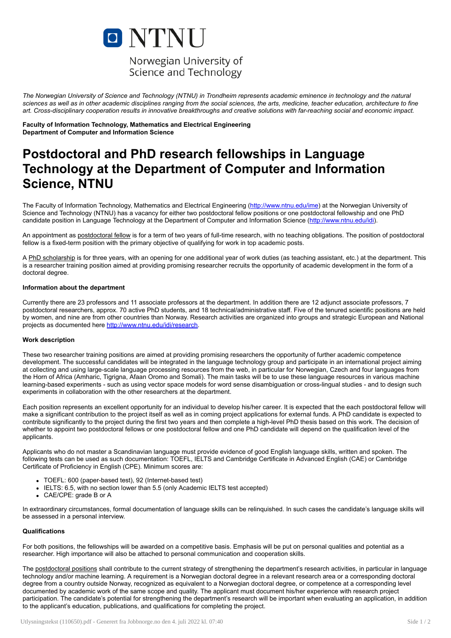

The Norwegian University of Science and Technology (NTNU) in Trondheim represents academic eminence in technology and the natural sciences as well as in other academic disciplines ranging from the social sciences, the arts, medicine, teacher education, architecture to fine art. Cross-disciplinary cooperation results in innovative breakthroughs and creative solutions with far-reaching social and economic impact.

Faculty of Information Technology, Mathematics and Electrical Engineering Department of Computer and Information Science

# Postdoctoral and PhD research fellowships in Language Technology at the Department of Computer and Information Science, NTNU

The Faculty of Information Technology, Mathematics and Electrical Engineering [\(http://www.ntnu.edu/ime](http://www.ntnu.edu/ime)) at the Norwegian University of Science and Technology (NTNU) has a vacancy for either two postdoctoral fellow positions or one postdoctoral fellowship and one PhD candidate position in Language Technology at the Department of Computer and Information Science [\(http://www.ntnu.edu/idi\)](http://www.ntnu.edu/idi).

An appointment as postdoctoral fellow is for a term of two years of full-time research, with no teaching obligations. The position of postdoctoral fellow is a fixed-term position with the primary objective of qualifying for work in top academic posts.

A PhD scholarship is for three years, with an opening for one additional year of work duties (as teaching assistant, etc.) at the department. This is a researcher training position aimed at providing promising researcher recruits the opportunity of academic development in the form of a doctoral degree.

# Information about the department

Currently there are 23 professors and 11 associate professors at the department. In addition there are 12 adjunct associate professors, 7 postdoctoral researchers, approx. 70 active PhD students, and 18 technical/administrative staff. Five of the tenured scientific positions are held by women, and nine are from other countries than Norway. Research activities are organized into groups and strategic European and National projects as documented here [http://www.ntnu.edu/idi/research.](http://www.ntnu.edu/idi/research)

#### Work description

These two researcher training positions are aimed at providing promising researchers the opportunity of further academic competence development. The successful candidates will be integrated in the language technology group and participate in an international project aiming at collecting and using large-scale language processing resources from the web, in particular for Norwegian, Czech and four languages from the Horn of Africa (Amharic, Tigrigna, Afaan Oromo and Somali). The main tasks will be to use these language resources in various machine learning-based experiments - such as using vector space models for word sense disambiguation or cross-lingual studies - and to design such experiments in collaboration with the other researchers at the department.

Each position represents an excellent opportunity for an individual to develop his/her career. It is expected that the each postdoctoral fellow will make a significant contribution to the project itself as well as in coming project applications for external funds. A PhD candidate is expected to contribute significantly to the project during the first two years and then complete a high-level PhD thesis based on this work. The decision of whether to appoint two postdoctoral fellows or one postdoctoral fellow and one PhD candidate will depend on the qualification level of the applicants.

Applicants who do not master a Scandinavian language must provide evidence of good English language skills, written and spoken. The following tests can be used as such documentation: TOEFL, IELTS and Cambridge Certificate in Advanced English (CAE) or Cambridge Certificate of Proficiency in English (CPE). Minimum scores are:

- TOEFL: 600 (paper-based test), 92 (Internet-based test)
- IELTS: 6.5, with no section lower than 5.5 (only Academic IELTS test accepted)
- CAE/CPE: grade B or A

In extraordinary circumstances, formal documentation of language skills can be relinquished. In such cases the candidate's language skills will be assessed in a personal interview.

#### **Qualifications**

For both positions, the fellowships will be awarded on a competitive basis. Emphasis will be put on personal qualities and potential as a researcher. High importance will also be attached to personal communication and cooperation skills.

The postdoctoral positions shall contribute to the current strategy of strengthening the department's research activities, in particular in language technology and/or machine learning. A requirement is a Norwegian doctoral degree in a relevant research area or a corresponding doctoral degree from a country outside Norway, recognized as equivalent to a Norwegian doctoral degree, or competence at a corresponding level documented by academic work of the same scope and quality. The applicant must document his/her experience with research project participation. The candidate's potential for strengthening the department's research will be important when evaluating an application, in addition to the applicant's education, publications, and qualifications for completing the project.